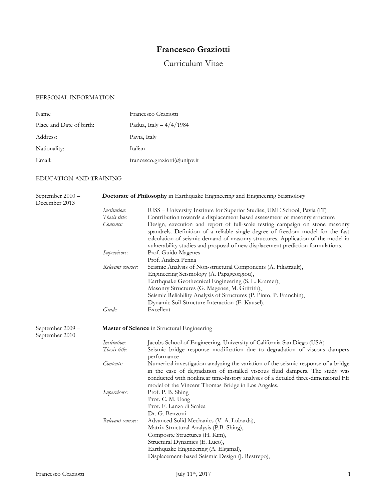# **Francesco Graziotti**

# Curriculum Vitae

# PERSONAL INFORMATION

| <b>Name</b>              | Francesco Graziotti          |
|--------------------------|------------------------------|
| Place and Date of birth: | Padua, Italy $-4/4/1984$     |
| Address:                 | Pavia, Italy                 |
| Nationality:             | Italian                      |
| Email:                   | francesco.graziotti@unipv.it |

# EDUCATION AND TRAINING

| September 2010 -<br>December 2013  | <b>Doctorate of Philosophy</b> in Earthquake Engineering and Engineering Seismology |                                                                                                                                                                                                                                                                                                                                        |  |  |
|------------------------------------|-------------------------------------------------------------------------------------|----------------------------------------------------------------------------------------------------------------------------------------------------------------------------------------------------------------------------------------------------------------------------------------------------------------------------------------|--|--|
|                                    | <i>Institution:</i>                                                                 | IUSS - University Institute for Superior Studies, UME School, Pavia (IT)                                                                                                                                                                                                                                                               |  |  |
|                                    | Thesis title:                                                                       | Contribution towards a displacement based assessment of masonry structure                                                                                                                                                                                                                                                              |  |  |
|                                    | Contents:                                                                           | Design, execution and report of full-scale testing campaign on stone masonry<br>spandrels. Definition of a reliable single degree of freedom model for the fast<br>calculation of seismic demand of masonry structures. Application of the model in<br>vulnerability studies and proposal of new displacement prediction formulations. |  |  |
|                                    | Supervisors:                                                                        | Prof. Guido Magenes<br>Prof. Andrea Penna                                                                                                                                                                                                                                                                                              |  |  |
|                                    | Relevant courses:                                                                   | Seismic Analysis of Non-structural Components (A. Filiatrault),<br>Engineering Seismology (A. Papageorgiou),<br>Earthquake Geothecnical Engineering (S. L. Kramer),<br>Masonry Structures (G. Magenes, M. Griffith),<br>Seismic Reliability Analysis of Structures (P. Pinto, P. Franchin),                                            |  |  |
|                                    |                                                                                     | Dynamic Soil-Structure Interaction (E. Kausel).                                                                                                                                                                                                                                                                                        |  |  |
|                                    | Grade:                                                                              | Excellent                                                                                                                                                                                                                                                                                                                              |  |  |
| September 2009 -<br>September 2010 | Master of Science in Structural Engineering                                         |                                                                                                                                                                                                                                                                                                                                        |  |  |
|                                    | Institution:<br>Thesis title:                                                       | Jacobs School of Engineering, University of California San Diego (USA)<br>Seismic bridge response modification due to degradation of viscous dampers<br>performance                                                                                                                                                                    |  |  |
|                                    | Contents:                                                                           | Numerical investigation analyzing the variation of the seismic response of a bridge<br>in the case of degradation of installed viscous fluid dampers. The study was<br>conducted with nonlinear time-history analyses of a detailed three-dimensional FE<br>model of the Vincent Thomas Bridge in Los Angeles.                         |  |  |
|                                    | Supervisors:                                                                        | Prof. P. B. Shing<br>Prof. C. M. Uang<br>Prof. F. Lanza di Scalea<br>Dr. G. Benzoni                                                                                                                                                                                                                                                    |  |  |
|                                    | Relevant courses:                                                                   | Advanced Solid Mechanics (V. A. Lubarda),<br>Matrix Structural Analysis (P.B. Shing),<br>Composite Structures (H. Kim),<br>Structural Dynamics (E. Luco),<br>Earthquake Engineering (A. Elgamal),<br>Displacement-based Seismic Design (J. Restrepo),                                                                                  |  |  |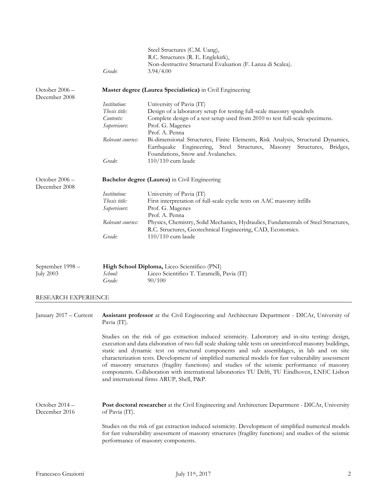|                                      | Grade:                                                                          | Steel Structures (C.M. Uang),<br>R.C. Structures (R. E. Englekirk),<br>Non-destructive Structural Evaluation (F. Lanza di Scalea).<br>3.94/4.00                                                                                                                                                                                                                                                                                                                                                                                                                                                                                                                 |
|--------------------------------------|---------------------------------------------------------------------------------|-----------------------------------------------------------------------------------------------------------------------------------------------------------------------------------------------------------------------------------------------------------------------------------------------------------------------------------------------------------------------------------------------------------------------------------------------------------------------------------------------------------------------------------------------------------------------------------------------------------------------------------------------------------------|
| October $2006 -$<br>December 2008    |                                                                                 | Master degree (Laurea Specialistica) in Civil Engineering                                                                                                                                                                                                                                                                                                                                                                                                                                                                                                                                                                                                       |
|                                      | Institution:<br>Thesis title:<br>Contents:<br>Supervisors:<br>Relevant courses: | University of Pavia (IT)<br>Design of a laboratory setup for testing full-scale masonry spandrels<br>Complete design of a test setup used from 2010 to test full-scale specimens.<br>Prof. G. Magenes<br>Prof. A. Penna<br>Bi-dimensional Structures, Finite Elements, Risk Analysis, Structural Dynamics,                                                                                                                                                                                                                                                                                                                                                      |
|                                      | Grade:                                                                          | Earthquake Engineering, Steel Structures, Masonry Structures, Bridges,<br>Foundations, Snow and Avalanches.<br>$110/110$ cum laude                                                                                                                                                                                                                                                                                                                                                                                                                                                                                                                              |
| October 2006 -<br>December 2008      |                                                                                 | Bachelor degree (Laurea) in Civil Engineering                                                                                                                                                                                                                                                                                                                                                                                                                                                                                                                                                                                                                   |
|                                      | Institution:<br>Thesis title:<br>Supervisors:                                   | University of Pavia (IT)<br>First interpretation of full-scale cyclic tests on AAC masonry infills<br>Prof. G. Magenes<br>Prof. A. Penna                                                                                                                                                                                                                                                                                                                                                                                                                                                                                                                        |
|                                      | Relevant courses:<br>Grade:                                                     | Physics, Chemistry, Solid Mechanics, Hydraulics, Fundamentals of Steel Structures,<br>R.C. Structures, Geotechnical Engineering, CAD, Economics.<br>$110/110$ cum laude                                                                                                                                                                                                                                                                                                                                                                                                                                                                                         |
| September 1998 -<br><b>July 2003</b> | School:<br>Grade:                                                               | High School Diploma, Liceo Scientifico (PNI)<br>Liceo Scientifico T. Taramelli, Pavia (IT)<br>90/100                                                                                                                                                                                                                                                                                                                                                                                                                                                                                                                                                            |
| RESEARCH EXPERIENCE                  |                                                                                 |                                                                                                                                                                                                                                                                                                                                                                                                                                                                                                                                                                                                                                                                 |
| January 2017 – Current               | Pavia (IT).                                                                     | Assistant professor at the Civil Engineering and Architecture Department - DICAr, University of                                                                                                                                                                                                                                                                                                                                                                                                                                                                                                                                                                 |
|                                      |                                                                                 | Studies on the risk of gas extraction induced seismicity. Laboratory and in-situ testing: design,<br>execution and data elaboration of two full scale shaking table tests on unreinforced masonry buildings,<br>static and dynamic test on structural components and sub assemblages, in lab and on site<br>characterization tests. Development of simplified numerical models for fast vulnerability assessment<br>of masonry structures (fragility functions) and studies of the seismic performance of masonry<br>components. Collaboration with international laboratories TU Delft, TU Eindhoven, LNEC Lisbon<br>and international firms ARUP, Shell, P&P. |
| October 2014 -<br>December 2016      | of Pavia (IT).                                                                  | Post doctoral researcher at the Civil Engineering and Architecture Department - DICAr, University                                                                                                                                                                                                                                                                                                                                                                                                                                                                                                                                                               |
|                                      |                                                                                 | Studies on the risk of gas extraction induced seismicity. Development of simplified numerical models<br>for fast vulnerability assessment of masonry structures (fragility functions) and studies of the seismic<br>performance of masonry components.                                                                                                                                                                                                                                                                                                                                                                                                          |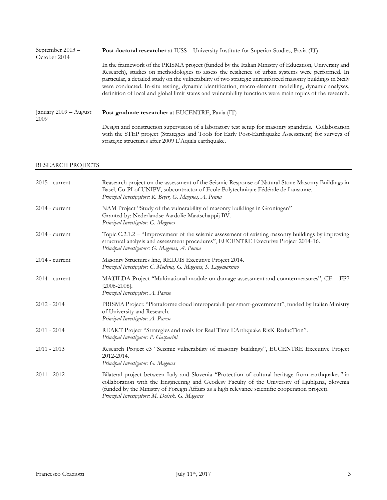| September $2013 -$<br>October 2014 | <b>Post doctoral researcher</b> at IUSS – University Institute for Superior Studies, Pavia (IT).                                                                                                                                                                                                                                                                                                                                                                                                                                           |  |  |
|------------------------------------|--------------------------------------------------------------------------------------------------------------------------------------------------------------------------------------------------------------------------------------------------------------------------------------------------------------------------------------------------------------------------------------------------------------------------------------------------------------------------------------------------------------------------------------------|--|--|
|                                    | In the framework of the PRISMA project (funded by the Italian Ministry of Education, University and<br>Research), studies on methodologies to assess the resilience of urban systems were performed. In<br>particular, a detailed study on the vulnerability of two strategic unreinforced masonry buildings in Sicily<br>were conducted. In-situ testing, dynamic identification, macro-element modelling, dynamic analyses,<br>definition of local and global limit states and vulnerability functions were main topics of the research. |  |  |
| January 2009 - August<br>2009      | Post graduate researcher at EUCENTRE, Pavia (IT).                                                                                                                                                                                                                                                                                                                                                                                                                                                                                          |  |  |
|                                    | Design and construction supervision of a laboratory test setup for masonry spandrels. Collaboration<br>with the STEP project (Strategies and Tools for Early Post-Earthquake Assessment) for surveys of<br>strategic structures after 2009 L'Aquila earthquake.                                                                                                                                                                                                                                                                            |  |  |

# RESEARCH PROJECTS

| $2015$ - current | Reasearch project on the assessment of the Seismic Response of Natural Stone Masonry Buildings in<br>Basel, Co-PI of UNIPV, subcontractor of Ecole Polytechnique Fédérale de Lausanne.<br>Principal Investigators: K. Beyer, G. Magenes, A. Penna                                                                                                          |
|------------------|------------------------------------------------------------------------------------------------------------------------------------------------------------------------------------------------------------------------------------------------------------------------------------------------------------------------------------------------------------|
| $2014$ - current | NAM Project "Study of the vulnerability of masonry buildings in Groningen"<br>Granted by: Nederlandse Aardolie Maatschappij BV.<br>Principal Investigator: G. Magenes                                                                                                                                                                                      |
| $2014$ - current | Topic C.2.1.2 – "Improvement of the seismic assessment of existing masonry buildings by improving<br>structural analysis and assessment procedures", EUCENTRE Executive Project 2014-16.<br>Principal Investigators: G. Magenes, A. Penna                                                                                                                  |
| $2014$ - current | Masonry Structures line, RELUIS Executive Project 2014.<br>Principal Investigator: C. Modena, G. Magenes, S. Lagomarsino                                                                                                                                                                                                                                   |
| $2014$ - current | MATILDA Project "Multinational module on damage assessment and countermeasures", CE - FP7<br>$[2006 - 2008]$ .<br>Principal Investigator: A. Pavese                                                                                                                                                                                                        |
| $2012 - 2014$    | PRISMA Project: "Piattaforme cloud interoperabili per smart-government", funded by Italian Ministry<br>of University and Research.<br>Principal Investigator: A. Pavese                                                                                                                                                                                    |
| $2011 - 2014$    | REAKT Project "Strategies and tools for Real Time EArthquake RisK ReducTion".<br>Principal Investigator: P. Gasparini                                                                                                                                                                                                                                      |
| $2011 - 2013$    | Research Project e3 "Seismic vulnerability of masonry buildings", EUCENTRE Executive Project<br>2012-2014.<br>Principal Investigator: G. Magenes                                                                                                                                                                                                           |
| $2011 - 2012$    | Bilateral project between Italy and Slovenia "Protection of cultural heritage from earthquakes" in<br>collaboration with the Engineering and Geodesy Faculty of the University of Ljubljana, Slovenia<br>(funded by the Ministry of Foreign Affairs as a high relevance scientific cooperation project).<br>Principal Investigators: M. Dolsek. G. Magenes |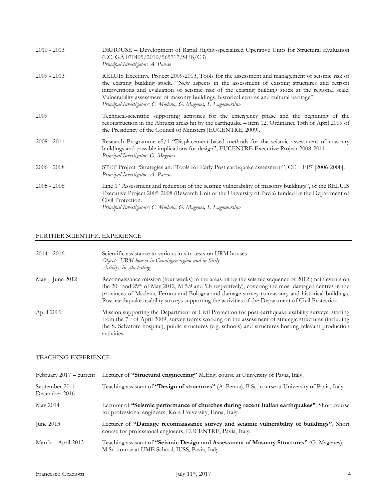| $2010 - 2013$ | DRHOUSE – Development of Rapid Highly-specialized Operative Units for Structural Evaluation<br>(EC, GA 070405/2010/565717/SUB/C3)<br>Principal Investigator: A. Pavese                                                                                                                                                                                                                                                                                                 |
|---------------|------------------------------------------------------------------------------------------------------------------------------------------------------------------------------------------------------------------------------------------------------------------------------------------------------------------------------------------------------------------------------------------------------------------------------------------------------------------------|
| $2009 - 2013$ | RELUIS Executive Project 2009-2013, Tools for the assessment and management of seismic risk of<br>the existing building stock. "New aspects in the assessment of existing structures and retrofit<br>interventions and evaluation of seismic risk of the existing building stock at the regional scale.<br>Vulnerability assessment of masonry buildings, historical centres and cultural heritage".<br>Principal Investigators: C. Modena, G. Magenes, S. Lagomarsino |
| 2009          | Technical-scientific supporting activities for the emergency phase and the beginning of the<br>reconstruction in the Abruzzi areas hit by the earthquake – item 12, Ordinance 15th of April 2009 of<br>the Presidency of the Council of Ministers [EUCENTRE, 2009].                                                                                                                                                                                                    |
| $2008 - 2011$ | Research Programme e5/1 "Displacement-based methods for the seismic assessment of masonry<br>buildings and possible implications for design", EUCENTRE Executive Project 2008-2011.<br>Principal Investigator: G. Magenes                                                                                                                                                                                                                                              |
| $2006 - 2008$ | STEP Project "Strategies and Tools for Early Post earthquake assessment", CE - FP7 [2006-2008].<br>Principal Investigator: A. Pavese                                                                                                                                                                                                                                                                                                                                   |
| $2005 - 2008$ | Line 1 "Assessment and reduction of the seismic vulnerability of masonry buildings", of the RELUIS<br>Executive Project 2005-2008 (Research Unit of the University of Pavia) funded by the Department of<br>Civil Protection.<br>Principal Investigators: C. Modena, G. Magenes, S. Lagomarsino                                                                                                                                                                        |

# FURTHER SCIENTIFIC EXPERIENCE

| $2014 - 2016$     | Scientific assistance to various in-situ tests on URM houses<br>Object: URM houses in Groningen region and in Sicily<br>Activity: in-situ testing                                                                                                                                                                                                                                                                                             |
|-------------------|-----------------------------------------------------------------------------------------------------------------------------------------------------------------------------------------------------------------------------------------------------------------------------------------------------------------------------------------------------------------------------------------------------------------------------------------------|
| $May - June 2012$ | Reconnaissance mission (four weeks) in the areas hit by the seismic sequence of 2012 (main events on<br>the 20 <sup>th</sup> and 29 <sup>th</sup> of May 2012, M 5.9 and 5.8 respectively), covering the most damaged centres in the<br>provinces of Modena, Ferrara and Bologna and damage survey to masonry and historical buildings.<br>Post-earthquake usability surveys supporting the activities of the Department of Civil Protection. |
| April 2009        | Mission supporting the Department of Civil Protection for post-earthquake usability surveys: starting<br>from the 7 <sup>th</sup> of April 2009, survey teams working on the assessment of strategic structures (including<br>the S. Salvatore hospital), public structures (e.g. schools) and structures hosting relevant production<br>activities.                                                                                          |

# TEACHING EXPERIENCE

|                                     | February 2017 – current Lecturer of "Structural engineering" M.Eng. course at University of Pavia, Italy.                                                  |
|-------------------------------------|------------------------------------------------------------------------------------------------------------------------------------------------------------|
| September $2011 -$<br>December 2016 | Teaching assistant of "Design of structures" (A. Penna), B.Sc. course at University of Pavia, Italy.                                                       |
| May 2014                            | Lecturer of "Seismic performance of churches during recent Italian earthquakes", Short course<br>for professional engineers, Kore University, Enna, Italy. |
| June $2013$                         | Lecturer of "Damage reconnaissance survey and seismic vulnerability of buildings", Short<br>course for professional engineers, EUCENTRE, Pavia, Italy.     |
| March $-$ April 2013                | Teaching assistant of "Seismic Design and Assessment of Masonry Structures" (G. Magenes),<br>M.Sc. course at UME School, IUSS, Pavia, Italy.               |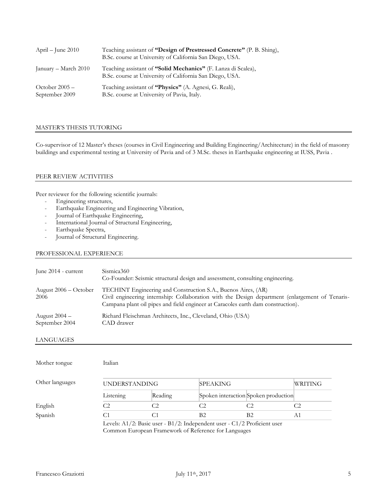| April – June $2010$                | Teaching assistant of "Design of Prestressed Concrete" (P. B. Shing),<br>B.Sc. course at University of California San Diego, USA. |
|------------------------------------|-----------------------------------------------------------------------------------------------------------------------------------|
| January – March 2010               | Teaching assistant of "Solid Mechanics" (F. Lanza di Scalea),<br>B.Sc. course at University of California San Diego, USA.         |
| October $2005 -$<br>September 2009 | Teaching assistant of "Physics" (A. Agnesi, G. Reali),<br>B.Sc. course at University of Pavia, Italy.                             |

# MASTER'S THESIS TUTORING

Co-supervisor of 12 Master's theses (courses in Civil Engineering and Building Engineering/Architecture) in the field of masonry buildings and experimental testing at University of Pavia and of 3 M.Sc. theses in Earthquake engineering at IUSS, Pavia .

## PEER REVIEW ACTIVITIES

Peer reviewer for the following scientific journals:

- Engineering structures,
- Earthquake Engineering and Engineering Vibration,
- Journal of Earthquake Engineering,
- [International Journal of Structural Engineering,](http://www.inderscience.com/ijstructe)
- Earthquake Spectra,
- Journal of Structural Engineering.

#### PROFESSIONAL EXPERIENCE

| June 2014 - current               | Sismica360<br>Co-Founder: Seismic structural design and assessment, consulting engineering.                                                                                                                                                          |
|-----------------------------------|------------------------------------------------------------------------------------------------------------------------------------------------------------------------------------------------------------------------------------------------------|
| August $2006 - October$<br>2006   | TECHINT Engineering and Construction S.A., Buenos Aires, (AR)<br>Civil engineering internship: Collaboration with the Design department (enlargement of Tenaris-<br>Campana plant oil pipes and field engineer at Caracoles earth dam construction). |
| August $2004 -$<br>September 2004 | Richard Fleischman Architects, Inc., Cleveland, Ohio (USA)<br>CAD drawer                                                                                                                                                                             |

## LANGUAGES

| Mother tongue   | Italian                                                                  |         |                |                                      |    |
|-----------------|--------------------------------------------------------------------------|---------|----------------|--------------------------------------|----|
| Other languages | <b>UNDERSTANDING</b><br><b>SPEAKING</b>                                  |         |                | WRITING                              |    |
|                 | Listening                                                                | Reading |                | Spoken interaction Spoken production |    |
| English         | C2                                                                       | C2      |                |                                      |    |
| Spanish         |                                                                          |         | B <sub>2</sub> | B <sub>2</sub>                       | A1 |
|                 | Levels: A1/2: Basic user - B1/2: Independent user - C1/2 Proficient user |         |                |                                      |    |

Common European Framework of Reference for Languages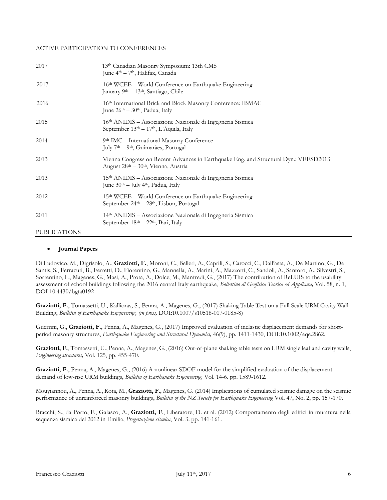#### ACTIVE PARTICIPATION TO CONFERENCES

| 2017                | 13th Canadian Masonry Symposium: 13th CMS<br>June 4 <sup>th</sup> – 7 <sup>th</sup> , Halifax, Canada                                                |
|---------------------|------------------------------------------------------------------------------------------------------------------------------------------------------|
| 2017                | 16th WCEE - World Conference on Earthquake Engineering<br>January 9 <sup>th</sup> – 13 <sup>th</sup> , Santiago, Chile                               |
| 2016                | 16th International Brick and Block Masonry Conference: IBMAC<br>June 26 <sup>th</sup> – 30 <sup>th</sup> , Padua, Italy                              |
| 2015                | 16 <sup>th</sup> ANIDIS – Associazione Nazionale di Ingegneria Sismica<br>September 13th - 17th, L'Aquila, Italy                                     |
| 2014                | 9th IMC - International Masonry Conference<br>July 7 <sup>th</sup> – 9 <sup>th</sup> , Guimarães, Portugal                                           |
| 2013                | Vienna Congress on Recent Advances in Earthquake Eng. and Structural Dyn.: VEESD2013<br>August 28 <sup>th</sup> – 30 <sup>th</sup> , Vienna, Austria |
| 2013                | 15 <sup>th</sup> ANIDIS – Associazione Nazionale di Ingegneria Sismica<br>June 30 <sup>th</sup> – July 4 <sup>th</sup> , Padua, Italy                |
| 2012                | $15th$ WCEE – World Conference on Earthquake Engineering<br>September $24th - 28th$ , Lisbon, Portugal                                               |
| 2011                | 14 <sup>th</sup> ANIDIS – Associazione Nazionale di Ingegneria Sismica<br>September 18 <sup>th</sup> - 22 <sup>th</sup> , Bari, Italy                |
| <b>PUBLICATIONS</b> |                                                                                                                                                      |

#### **Journal Papers**

Di Ludovico, M., Digrisolo, A., **Graziotti, F.**, Moroni, C., Belleri, A., Caprili, S., Carocci, C., Dall'asta, A., De Martino, G., De Santis, S., Ferracuti, B., Ferretti, D., Fiorentino, G., Mannella, A., Marini, A., Mazzotti, C., Sandoli, A., Santoro, A., Silvestri, S., Sorrentino, L., Magenes, G., Masi, A., Prota, A., Dolce, M., Manfredi, G., (2017) The contribution of ReLUIS to the usability assessment of school buildings following the 2016 central Italy earthquake, *Bollettino di Geofisica Teorica ed Applicata,* Vol. 58, n. 1, DOI 10.4430/bgta0192

**Graziotti, F.**, Tomassetti, U., Kallioras, S., Penna, A., Magenes, G., (2017) Shaking Table Test on a Full Scale URM Cavity Wall Building, *Bulletin of Earthquake Engineering, (in press,* DOI:10.1007/s10518-017-0185-8)

Guerrini, G., **Graziotti, F.**, Penna, A., Magenes, G., (2017) [Improved evaluation of inelastic displacement demands for short](https://www.scopus.com/record/display.uri?eid=2-s2.0-85010543962&origin=resultslist&sort=plf-f&src=s&sid=B309DE951DA75148071D6A60FF089ABE.wsnAw8kcdt7IPYLO0V48gA%3a100&sot=autdocs&sdt=autdocs&sl=18&s=AU-ID%2856290409300%29&relpos=0&citeCnt=0&searchTerm=)[period masonry structures,](https://www.scopus.com/record/display.uri?eid=2-s2.0-85010543962&origin=resultslist&sort=plf-f&src=s&sid=B309DE951DA75148071D6A60FF089ABE.wsnAw8kcdt7IPYLO0V48gA%3a100&sot=autdocs&sdt=autdocs&sl=18&s=AU-ID%2856290409300%29&relpos=0&citeCnt=0&searchTerm=) *Earthquake Engineering and Structural Dynamics,* 46(9), pp. 1411-1430, DOI:10.1002/eqe.2862.

**Graziotti, F.**, Tomassetti, U., Penna, A., Magenes, G., (2016) Out-of-plane shaking table tests on URM single leaf and cavity walls, *Engineering structures,* Vol. 125, pp. 455-470.

**Graziotti, F.**, Penna, A., Magenes, G., (2016) A nonlinear SDOF model for the simplified evaluation of the displacement demand of low-rise URM buildings, *Bulletin of Earthquake Engineering,* Vol. 14-6. pp. 1589-1612.

[Mouyiannou,](http://www.linkedin.com/profile/view?id=181776811&authType=name&authToken=5dM6&trk=prof-pub-cc-name) A., Penna, A., Rota, M., **Graziotti, F**., Magenes, G. (2014) Implications of cumulated seismic damage on the seismic performance of unreinforced masonry buildings, *Bulletin of the NZ Society for Earthquake Engineering* Vol. 47, No. 2, pp. 157-170.

Bracchi, S., da Porto, F., Galasco, A., **Graziotti, F**., Liberatore, D. et al. (2012) Comportamento degli edifici in muratura nella sequenza sismica del 2012 in Emilia, *Progettazione sismica*, Vol. 3. pp. 141-161.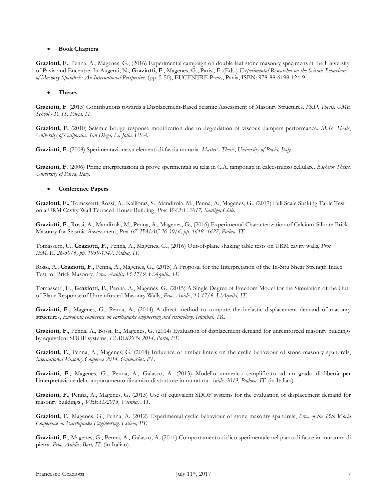## **Book Chapters**

**Graziotti, F.**, Penna, A., Magenes, G., (2016) Experimental campaign on double-leaf stone masonry specimens at the University of Pavia and Eucentre. In Augenti, N., **Graziotti, F**., Magenes, G., Parisi, F. (Eds.) *Experimental Researches on the Seismic Behaviour of Masonry Spandrels: An International Perspective,* (pp. 5-50), EUCENTRE Press, Pavia, ISBN: 978-88-6198-124-9.

## **Theses**

**Graziotti, F**. (2013) Contributions towards a Displacement-Based Seismic Assessment of Masonry Structures. *Ph.D. Thesis, UME School - IUSS, Pavia, IT.*

**Graziotti, F.** (2010) Seismic bridge response modification due to degradation of viscous dampers performance. *M.Sc. Thesis*, *University of California, San Diego, La Jolla, USA.*

**Graziotti, F.** (2008) Sperimentazione su elementi di fascia muraria. *Master's Thesis*, *University of Pavia, Italy.*

**Graziotti, F.** (2006) Prime interpretazioni di prove sperimentali su telai in C.A. tamponati in calcestruzzo cellulare. *Bachelor Thesis*, *University of Pavia, Italy.*

## **Conference Papers**

**Graziotti, F.,** Tomassetti, Rossi, A., Kallioras, S., Mandirola, M., Penna, A., Magenes, G., (2017) Full Scale Shaking Table Test on a URM Cavity Wall Terraced House Building, *Proc. WCEE 2017, Santigo, Chile.*

**Graziotti, F.**, Rossi, A., Mandirola, M., Penna, A., Magenes, G., (2016) Experimental Characterization of Calcium-Silicate Brick Masonry for Seismic Assessment, *Proc.16th IBMAC 26-30/6, pp. 1619- 1627, Padua, IT.*

Tomassetti, U., **Graziotti, F.,** Penna, A., Magenes, G., (2016) Out-of-plane shaking table tests on URM cavity walls, *Proc. IBMAC 26-30/6, pp. 1939-1947, Padua, IT.*

Rossi, A., **Graziotti, F.**, Penna, A., Magenes, G., (2015) A Proposal for the Interpretation of the In-Situ Shear Strength Index Test for Brick Masonry, *Proc. Anidis, 13-17/9, L'Aquila, IT.*

Tomassetti, U., **Graziotti, F.**, Penna, A., Magenes, G., (2015) A Single Degree of Freedom Model for the Simulation of the Outof-Plane Response of Unreinforced Masonry Walls, *Proc. Anidis, 13-17/9, L'Aquila, IT.*

**Graziotti, F.,** Magenes, G., Penna, A., (2014) A direct method to compute the inelastic displacement demand of masonry structures, *European conference on earthquake engineering and seismology, Istanbul, TR*.

**Graziotti, F**., Penna, A., Bossi, E., Magenes, G. (2014) Evaluation of displacement demand for unreinforced masonry buildings by equivalent SDOF systems, *EURODYN 2014, Porto, PT*.

**Graziotti, F.**, Penna, A., Magenes, G. (2014) Influence of timber lintels on the cyclic behaviour of stone masonry spandrels, *International Masonry Conferece 2014, Guimarães, PT*.

**Graziotti, F**., Magenes, G., Penna, A., Galasco, A. (2013) [Modello numerico semplificato ad un grado di libertà per](http://scholar.google.it/citations?view_op=view_citation&hl=it&user=YZf5b1QAAAAJ&citation_for_view=YZf5b1QAAAAJ:nb7KW1ujOQ8C)  [l'interpretazione del comportamento dinamico di strutture in muratura](http://scholar.google.it/citations?view_op=view_citation&hl=it&user=YZf5b1QAAAAJ&citation_for_view=YZf5b1QAAAAJ:nb7KW1ujOQ8C) *Anidis 2013, Padova, IT.* (in Italian).

**Graziotti, F**., Penna, A., Magenes, G. (2013) [Use of equivalent SDOF systems for the evaluation of displacement demand for](http://www.linkedin.com/redir/redirect?url=https%3A%2F%2Fsites%2Egoogle%2Ecom%2Fsite%2Fpaperfgraziotti%2Fhome%2Fveesd13_347%2FVEESD-347%2Epdf&urlhash=oCML&trk=prof-publication-title-link)  [masonry buildings](http://www.linkedin.com/redir/redirect?url=https%3A%2F%2Fsites%2Egoogle%2Ecom%2Fsite%2Fpaperfgraziotti%2Fhome%2Fveesd13_347%2FVEESD-347%2Epdf&urlhash=oCML&trk=prof-publication-title-link) , *VEESD2013, Vienna, AT.*

**Graziotti, F**., Magenes, G., Penna, A. (2012) [Experimental cyclic behaviour of stone masonry spandrels,](http://scholar.google.it/citations?view_op=view_citation&hl=it&user=YZf5b1QAAAAJ&citation_for_view=YZf5b1QAAAAJ:_xSYboBqXhAC) *Proc. of the 15th World Conference on Earthquake Engineering, Lisboa, PT.*

**Graziotti, F**., Magenes, G., Penna, A., Galasco, A. (2011) Comportamento ciclico sperimentale nel piano di fasce in muratura di pietra*, Proc. Anidis, Bari, IT.* (in Italian).